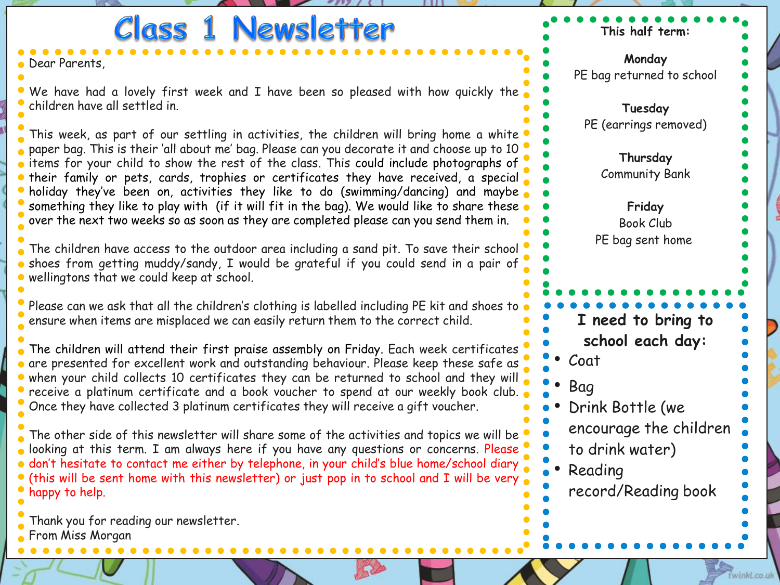**Class 1 Newsletter This half term: Monday** Dear Parents, PE bag returned to school We have had a lovely first week and I have been so pleased with how quickly the children have all settled in. **Tuesday** PE (earrings removed) This week, as part of our settling in activities, the children will bring home a white paper bag. This is their 'all about me' bag. Please can you decorate it and choose up to 10 **Thursday** items for your child to show the rest of the class. This could include photographs of Community Bank their family or pets, cards, trophies or certificates they have received, a special holiday they've been on, activities they like to do (swimming/dancing) and maybe something they like to play with (if it will fit in the bag). We would like to share these **Friday** over the next two weeks so as soon as they are completed please can you send them in. Book Club PE bag sent homeThe children have access to the outdoor area including a sand pit. To save their school **a** shoes from getting muddy/sandy, I would be grateful if you could send in a pair of wellingtons that we could keep at school. Please can we ask that all the children's clothing is labelled including PE kit and shoes to **I need to bring to**  ensure when items are misplaced we can easily return them to the correct child. **school each day:** The children will attend their first praise assembly on Friday. Each week certificates • Coat are presented for excellent work and outstanding behaviour. Please keep these safe as when your child collects 10 certificates they can be returned to school and they will • Bag **•** receive a platinum certificate and a book voucher to spend at our weekly book club. Once they have collected 3 platinum certificates they will receive a gift voucher. • Drink Bottle (we encourage the children The other side of this newsletter will share some of the activities and topics we will be to drink water) looking at this term. I am always here if you have any questions or concerns. Please. don't hesitate to contact me either by telephone, in your child's blue home/school diary • Reading (this will be sent home with this newsletter) or just pop in to school and I will be very record/Reading book happy to help. Thank you for reading our newsletter. From Miss Morgan